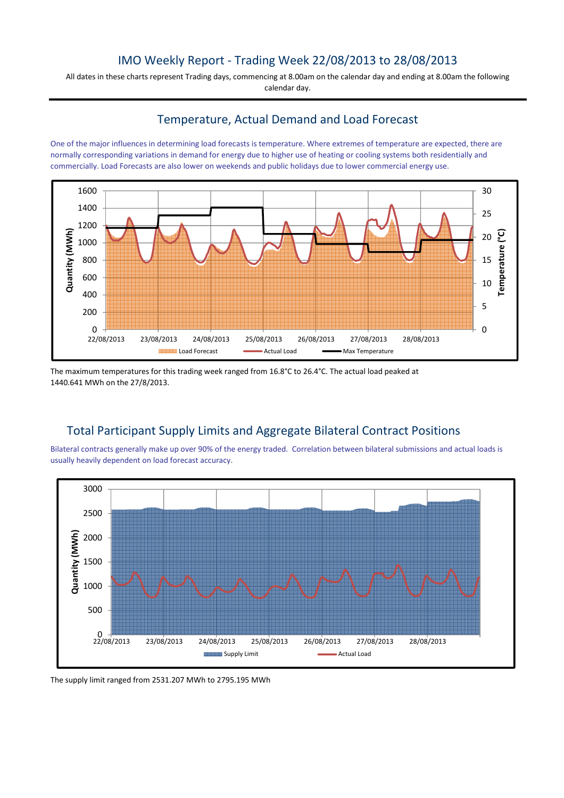## IMO Weekly Report - Trading Week 22/08/2013 to 28/08/2013

All dates in these charts represent Trading days, commencing at 8.00am on the calendar day and ending at 8.00am the following calendar day.

## Temperature, Actual Demand and Load Forecast

One of the major influences in determining load forecasts is temperature. Where extremes of temperature are expected, there are normally corresponding variations in demand for energy due to higher use of heating or cooling systems both residentially and commercially. Load Forecasts are also lower on weekends and public holidays due to lower commercial energy use.



The maximum temperatures for this trading week ranged from 16.8°C to 26.4°C. The actual load peaked at 1440.641 MWh on the 27/8/2013.

# Total Participant Supply Limits and Aggregate Bilateral Contract Positions

Bilateral contracts generally make up over 90% of the energy traded. Correlation between bilateral submissions and actual loads is usually heavily dependent on load forecast accuracy.



The supply limit ranged from 2531.207 MWh to 2795.195 MWh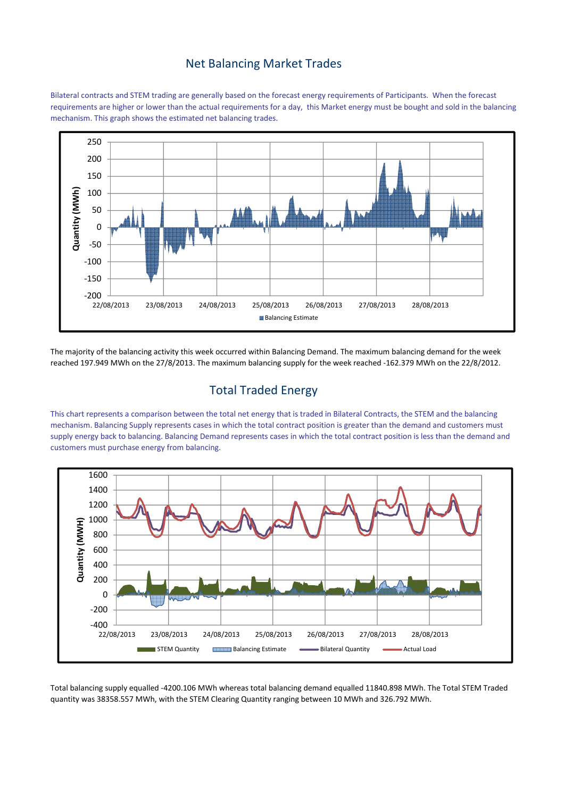## Net Balancing Market Trades

Bilateral contracts and STEM trading are generally based on the forecast energy requirements of Participants. When the forecast requirements are higher or lower than the actual requirements for a day, this Market energy must be bought and sold in the balancing mechanism. This graph shows the estimated net balancing trades.



The majority of the balancing activity this week occurred within Balancing Demand. The maximum balancing demand for the week reached 197.949 MWh on the 27/8/2013. The maximum balancing supply for the week reached -162.379 MWh on the 22/8/2012.

# Total Traded Energy

This chart represents a comparison between the total net energy that is traded in Bilateral Contracts, the STEM and the balancing mechanism. Balancing Supply represents cases in which the total contract position is greater than the demand and customers must supply energy back to balancing. Balancing Demand represents cases in which the total contract position is less than the demand and customers must purchase energy from balancing.



Total balancing supply equalled -4200.106 MWh whereas total balancing demand equalled 11840.898 MWh. The Total STEM Traded quantity was 38358.557 MWh, with the STEM Clearing Quantity ranging between 10 MWh and 326.792 MWh.